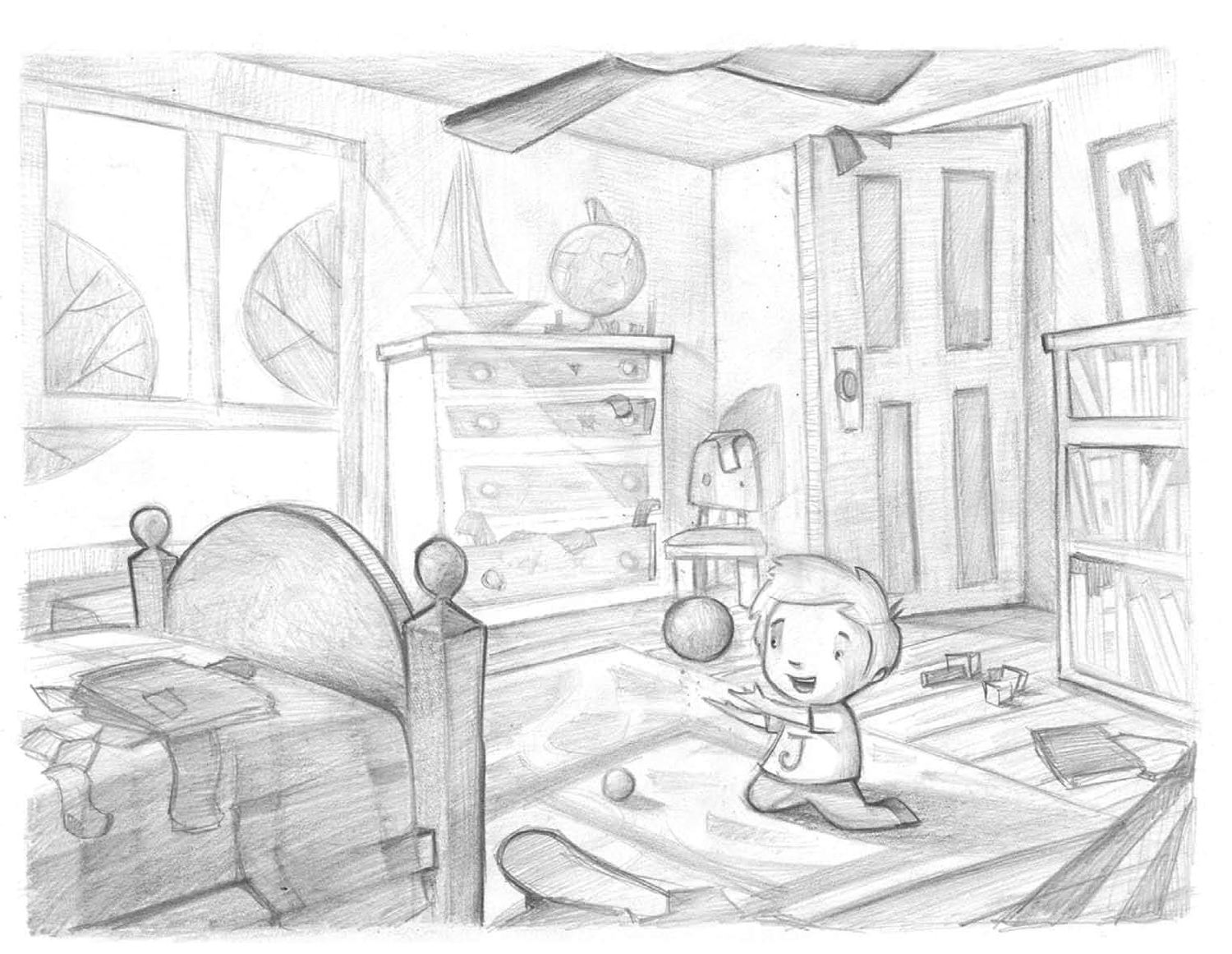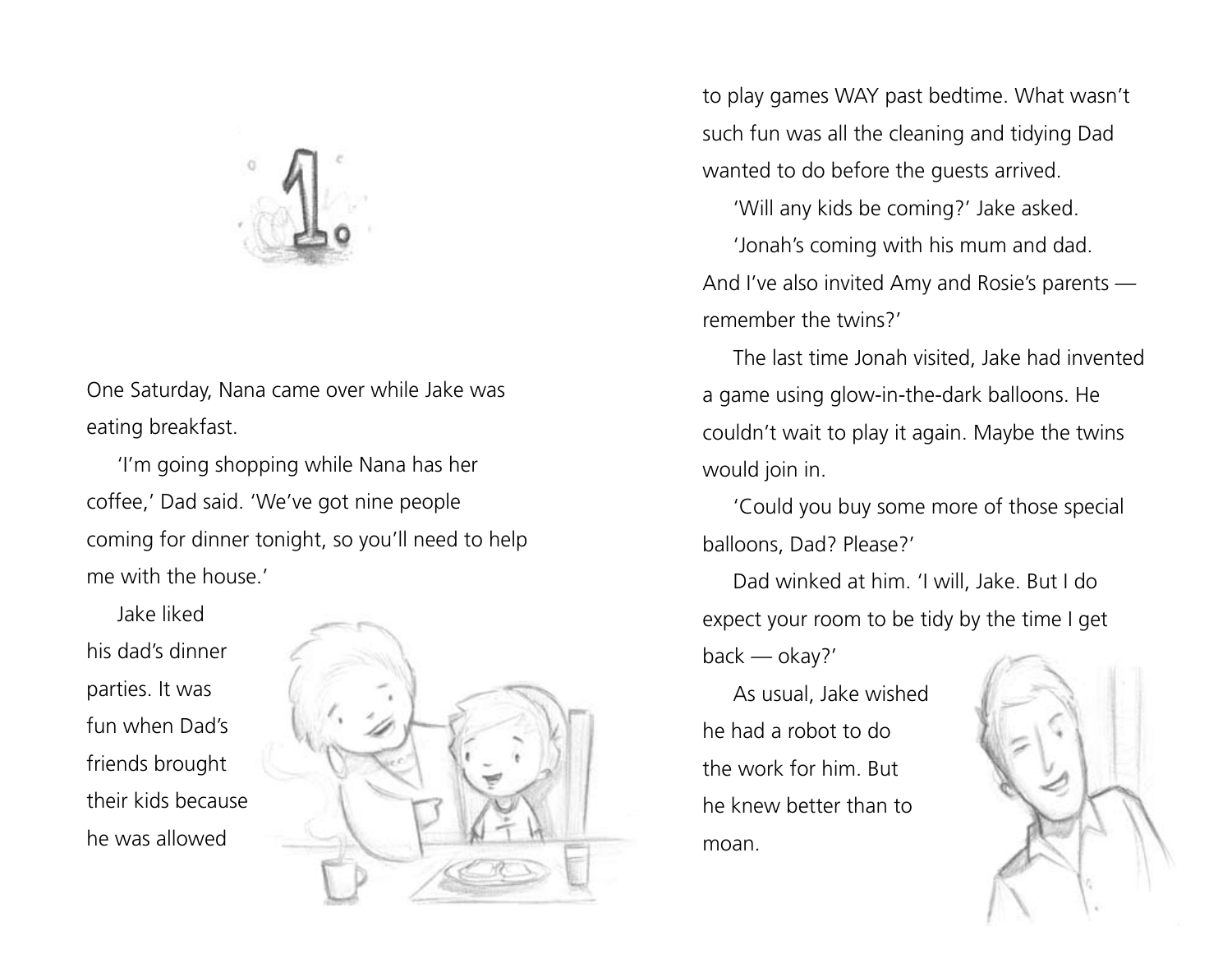

One Saturday, Nana came over while Jake was eating breakfast.

'I'm going shopping while Nana has her coffee,' Dad said. 'We've got nine people coming for dinner tonight, so you'll need to help me with the house.'

Jake liked his dad's dinner parties. It was fun when Dad's friends brought their kids because he was allowed



to play games WAY past bedtime. What wasn't such fun was all the cleaning and tidying Dad wanted to do before the guests arrived.

'Will any kids be coming?' Jake asked.

'Jonah's coming with his mum and dad. And I've also invited Amy and Rosie's parents remember the twins?'

The last time Jonah visited, Jake had invented a game using glow-in-the-dark balloons. He couldn't wait to play it again. Maybe the twins would join in.

'Could you buy some more of those special balloons, Dad? Please?'

Dad winked at him. 'I will, Jake. But I do expect your room to be tidy by the time I get

back — okay?'

As usual, Jake wished he had a robot to do the work for him. But he knew better than to moan.

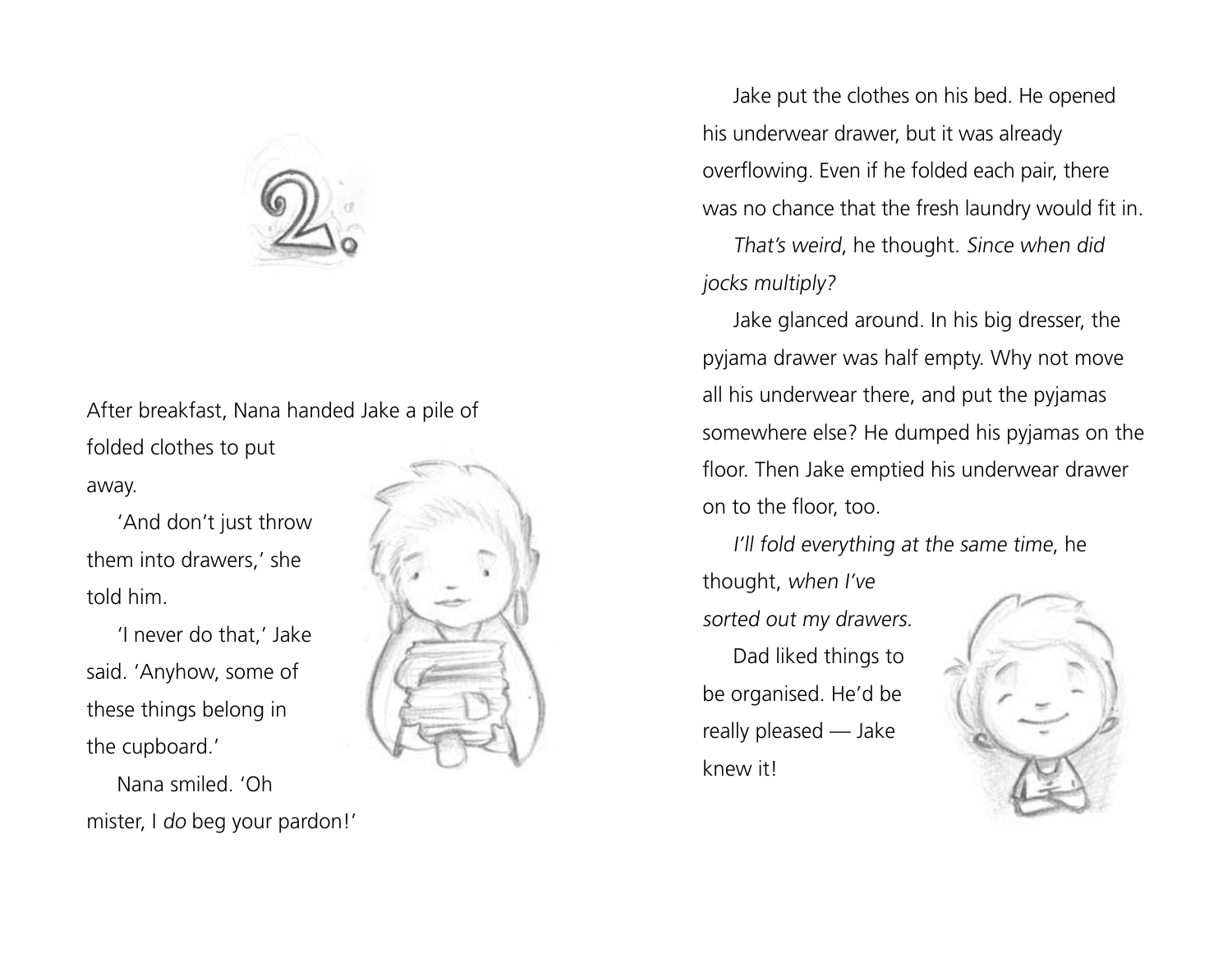

After breakfast, Nana handed Jake a pile of folded clothes to put away.

'And don't just throw them into drawers,' she told him.

'I never do that,' Jake said. 'Anyhow, some of these things belong in the cupboard.'

Nana smiled. 'Oh mister, I do beg your pardon!'



Jake put the clothes on his bed. He opened his underwear drawer, but it was already overflowing. Even if he folded each pair, there was no chance that the fresh laundry would fit in.

That's weird, he thought. Since when did jocks multiply?

Jake glanced around. In his big dresser, the pyjama drawer was half empty. Why not move all his underwear there, and put the pyjamas somewhere else? He dumped his pyjamas on the floor. Then Jake emptied his underwear drawer on to the floor, too.

I'll fold everything at the same time, he thought, when I've sorted out my drawers. Dad liked things to

be organised. He'd be really pleased — Jake knew it!